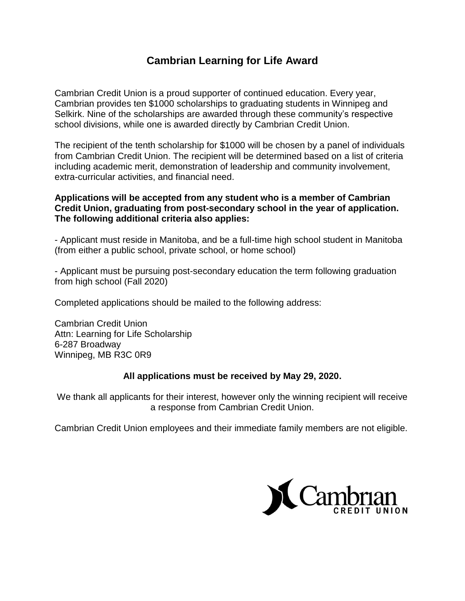## **Cambrian Learning for Life Award**

Cambrian Credit Union is a proud supporter of continued education. Every year, Cambrian provides ten \$1000 scholarships to graduating students in Winnipeg and Selkirk. Nine of the scholarships are awarded through these community's respective school divisions, while one is awarded directly by Cambrian Credit Union.

The recipient of the tenth scholarship for \$1000 will be chosen by a panel of individuals from Cambrian Credit Union. The recipient will be determined based on a list of criteria including academic merit, demonstration of leadership and community involvement, extra-curricular activities, and financial need.

## **Applications will be accepted from any student who is a member of Cambrian Credit Union, graduating from post-secondary school in the year of application. The following additional criteria also applies:**

- Applicant must reside in Manitoba, and be a full-time high school student in Manitoba (from either a public school, private school, or home school)

- Applicant must be pursuing post-secondary education the term following graduation from high school (Fall 2020)

Completed applications should be mailed to the following address:

Cambrian Credit Union Attn: Learning for Life Scholarship 6-287 Broadway Winnipeg, MB R3C 0R9

## **All applications must be received by May 29, 2020.**

We thank all applicants for their interest, however only the winning recipient will receive a response from Cambrian Credit Union.

Cambrian Credit Union employees and their immediate family members are not eligible.

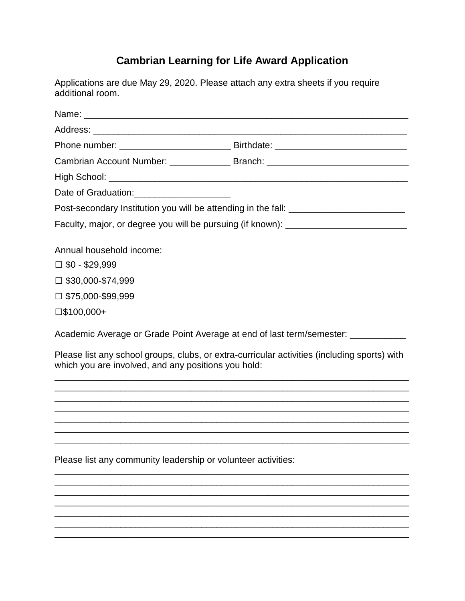## **Cambrian Learning for Life Award Application**

Applications are due May 29, 2020. Please attach any extra sheets if you require additional room.

|                                                     | Cambrian Account Number: _________________ Branch: _____________________________             |
|-----------------------------------------------------|----------------------------------------------------------------------------------------------|
|                                                     |                                                                                              |
| Date of Graduation: _________________________       |                                                                                              |
|                                                     | Post-secondary Institution you will be attending in the fall: ___________________            |
|                                                     | Faculty, major, or degree you will be pursuing (if known): _____________________             |
| Annual household income:                            |                                                                                              |
| $\Box$ \$0 - \$29,999                               |                                                                                              |
| $\square$ \$30,000-\$74,999                         |                                                                                              |
| $\Box$ \$75,000-\$99,999                            |                                                                                              |
| $\square$ \$100,000+                                |                                                                                              |
|                                                     | Academic Average or Grade Point Average at end of last term/semester: __________             |
| which you are involved, and any positions you hold: | Please list any school groups, clubs, or extra-curricular activities (including sports) with |
|                                                     |                                                                                              |
|                                                     |                                                                                              |
|                                                     |                                                                                              |

<u> 1989 - Johann John Stone, markin bashkar (b. 1989)</u>

Please list any community leadership or volunteer activities: